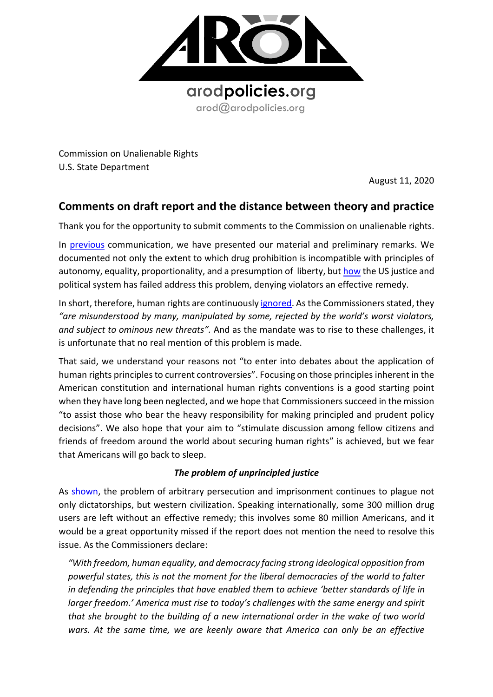

Commission on Unalienable Rights U.S. State Department

August 11, 2020

## **Comments on draft report and the distance between theory and practice**

Thank you for the opportunity to submit comments to the Commission on unalienable rights.

In [previous](https://8c75b10d-e0b1-4d25-99ed-609c80001c6c.filesusr.com/ugd/a479b9_d9d4bc6ebbfd4f29bfa5f5797b7e6ec6.pdf) communication, we have presented our material and preliminary remarks. We documented not only the extent to which drug prohibition is incompatible with principles of autonomy, equality, proportionality, and a presumption of liberty, bu[t how](https://knowmadinstitut.org/2019/06/book-presentation-constitutional-challenges-to-the-drug-law-a-case-study/) the US justice and political system has failed address this problem, denying violators an effective remedy.

In short, therefore, human rights are continuously [ignored.](https://www.unodc.org/documents/ungass2016/Contributions/Civil/AROD/TO_END_A_WAR_PDF.pdf) As the Commissioners stated, they *"are misunderstood by many, manipulated by some, rejected by the world's worst violators, and subject to ominous new threats".* And as the mandate was to rise to these challenges, it is unfortunate that no real mention of this problem is made.

That said, we understand your reasons not "to enter into debates about the application of human rights principles to current controversies". Focusing on those principles inherent in the American constitution and international human rights conventions is a good starting point when they have long been neglected, and we hope that Commissioners succeed in the mission "to assist those who bear the heavy responsibility for making principled and prudent policy decisions". We also hope that your aim to "stimulate discussion among fellow citizens and friends of freedom around the world about securing human rights" is achieved, but we fear that Americans will go back to sleep.

## *The problem of unprincipled justice*

As [shown,](https://8c75b10d-e0b1-4d25-99ed-609c80001c6c.filesusr.com/ugd/a479b9_70bfd29de0a44c35a690a9038fe025b0.pdf) the problem of arbitrary persecution and imprisonment continues to plague not only dictatorships, but western civilization. Speaking internationally, some 300 million drug users are left without an effective remedy; this involves some 80 million Americans, and it would be a great opportunity missed if the report does not mention the need to resolve this issue. As the Commissioners declare:

*"With freedom, human equality, and democracy facing strong ideological opposition from powerful states, this is not the moment for the liberal democracies of the world to falter in defending the principles that have enabled them to achieve 'better standards of life in larger freedom.' America must rise to today's challenges with the same energy and spirit that she brought to the building of a new international order in the wake of two world*  wars. At the same time, we are keenly aware that America can only be an effective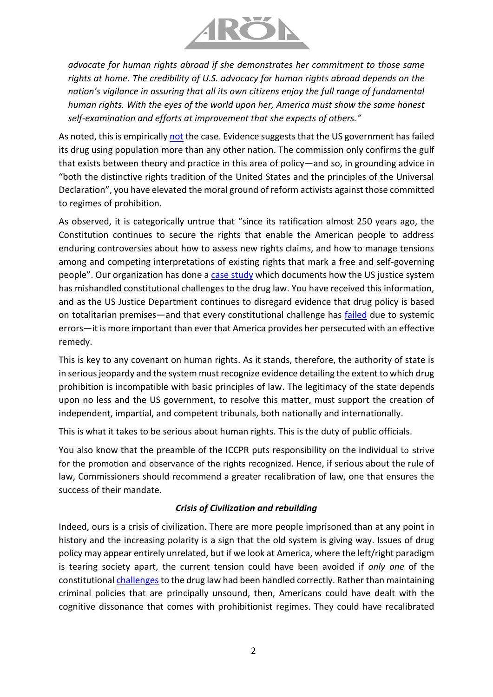

*advocate for human rights abroad if she demonstrates her commitment to those same rights at home. The credibility of U.S. advocacy for human rights abroad depends on the nation's vigilance in assuring that all its own citizens enjoy the full range of fundamental human rights. With the eyes of the world upon her, America must show the same honest self-examination and efforts at improvement that she expects of others."*

As [not](https://knowmadinstitut.org/2019/06/book-presentation-constitutional-challenges-to-the-drug-law-a-case-study/)ed, this is empirically not the case. Evidence suggests that the US government has failed its drug using population more than any other nation. The commission only confirms the gulf that exists between theory and practice in this area of policy—and so, in grounding advice in "both the distinctive rights tradition of the United States and the principles of the Universal Declaration", you have elevated the moral ground of reform activists against those committed to regimes of prohibition.

As observed, it is categorically untrue that "since its ratification almost 250 years ago, the Constitution continues to secure the rights that enable the American people to address enduring controversies about how to assess new rights claims, and how to manage tensions among and competing interpretations of existing rights that mark a free and self-governing people". Our organization has done a [case study](https://8c75b10d-e0b1-4d25-99ed-609c80001c6c.filesusr.com/ugd/a479b9_27c6a15fa27745cc89d6280133087a0b.pdf) which documents how the US justice system has mishandled constitutional challenges to the drug law. You have received this information, and as the US Justice Department continues to disregard evidence that drug policy is based on totalitarian premises—and that every constitutional challenge has [failed](https://8c75b10d-e0b1-4d25-99ed-609c80001c6c.filesusr.com/ugd/a479b9_98a77d1d408c4130980f3b8900bba61f.pdf) due to systemic errors—it is more important than ever that America provides her persecuted with an effective remedy.

This is key to any covenant on human rights. As it stands, therefore, the authority of state is in serious jeopardy and the system must recognize evidence detailing the extent to which drug prohibition is incompatible with basic principles of law. The legitimacy of the state depends upon no less and the US government, to resolve this matter, must support the creation of independent, impartial, and competent tribunals, both nationally and internationally.

This is what it takes to be serious about human rights. This is the duty of public officials.

You also know that the preamble of the ICCPR puts responsibility on the individual to strive for the promotion and observance of the rights recognized. Hence, if serious about the rule of law, Commissioners should recommend a greater recalibration of law, one that ensures the success of their mandate.

## *Crisis of Civilization and rebuilding*

Indeed, ours is a crisis of civilization. There are more people imprisoned than at any point in history and the increasing polarity is a sign that the old system is giving way. Issues of drug policy may appear entirely unrelated, but if we look at America, where the left/right paradigm is tearing society apart, the current tension could have been avoided if *only one* of the constitutiona[l challenges](https://knowmadinstitut.org/2019/06/book-presentation-constitutional-challenges-to-the-drug-law-a-case-study/) to the drug law had been handled correctly. Rather than maintaining criminal policies that are principally unsound, then, Americans could have dealt with the cognitive dissonance that comes with prohibitionist regimes. They could have recalibrated